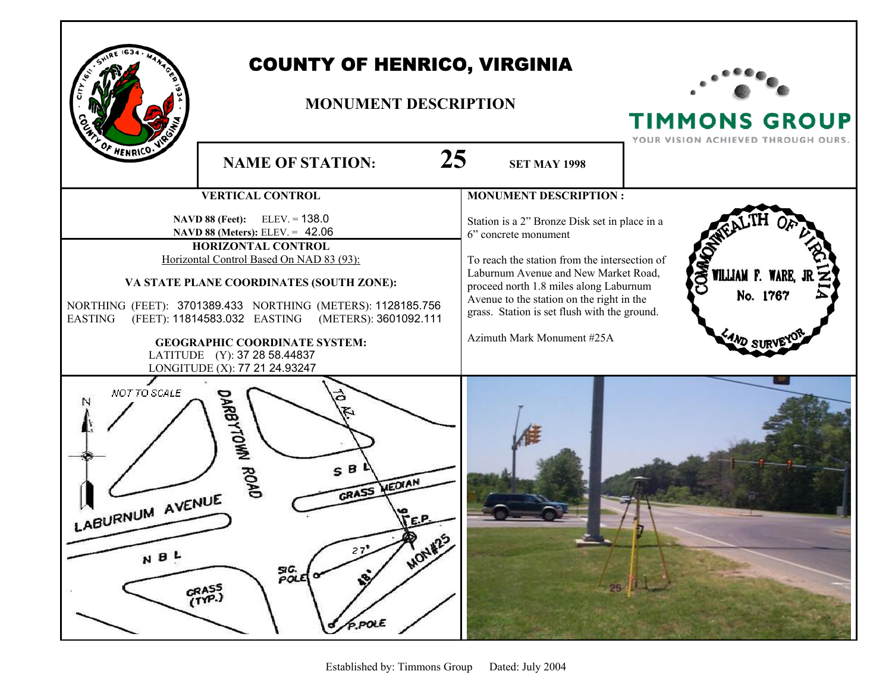